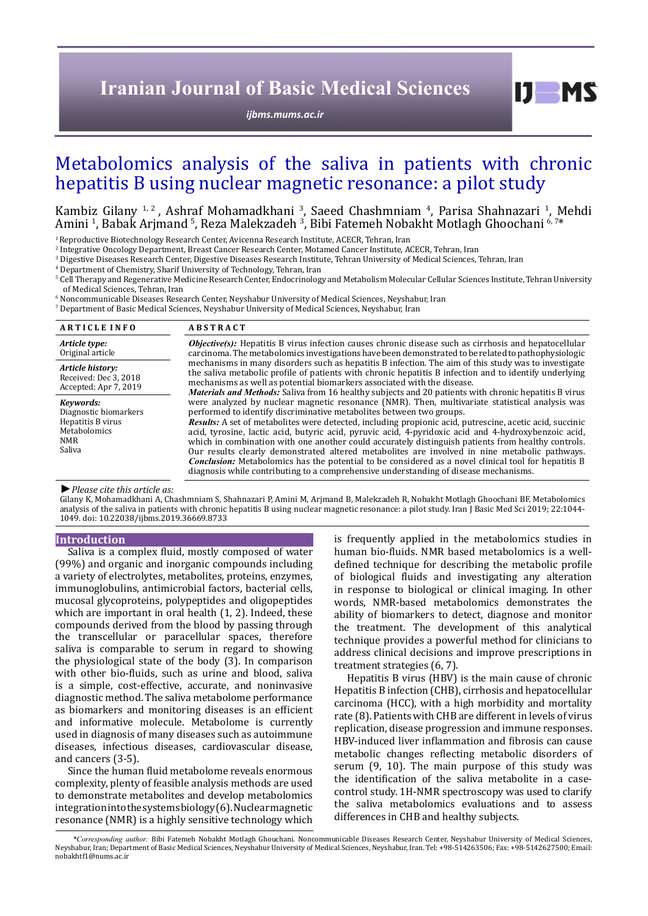# **Iranian Journal of Basic Medical Sciences**

*[ijbms.mums.ac.ir](http://ijbms.mums.ac.ir)*

# Metabolomics analysis of the saliva in patients with chronic hepatitis B using nuclear magnetic resonance: a pilot study

# Kambiz Gilany <sup>1, 2</sup>, Ashraf Mohamadkhani <sup>3</sup>, Saeed Chashmniam <sup>4</sup>, Parisa Shahnazari <sup>1</sup>, Mehdi Amini <sup>1</sup>, Babak Arjmand <sup>5</sup>, Reza Malekzadeh <sup>3</sup>, Bibi Fatemeh Nobakht Motlagh Ghoochani 6,7\*

<sup>1</sup> Reproductive Biotechnology Research Center, Avicenna Research Institute, ACECR, Tehran, Iran

2 Integrative Oncology Department, Breast Cancer Research Center, Motamed Cancer Institute, ACECR, Tehran, Iran

3 Digestive Diseases Research Center, Digestive Diseases Research Institute, Tehran University of Medical Sciences, Tehran, Iran

4 Department of Chemistry, Sharif University of Technology, Tehran, Iran

5 Cell Therapy and Regenerative Medicine Research Center, Endocrinology and Metabolism Molecular Cellular Sciences Institute, Tehran University of Medical Sciences, Tehran, Iran

 $^{\rm 6}$  Noncommunicable Diseases Research Center, Neyshabur University of Medical Sciences, Neyshabur, Iran

7 Department of Basic Medical Sciences, Neyshabur University of Medical Sciences, Neyshabur, Iran

| <b>ARTICLE INFO</b>                                                                      | <b>ABSTRACT</b>                                                                                                                                                                                                                                                                                                                                                                                                                                                                                                                                                                                                                                                                                                                                                                                                                                                                                                                 |
|------------------------------------------------------------------------------------------|---------------------------------------------------------------------------------------------------------------------------------------------------------------------------------------------------------------------------------------------------------------------------------------------------------------------------------------------------------------------------------------------------------------------------------------------------------------------------------------------------------------------------------------------------------------------------------------------------------------------------------------------------------------------------------------------------------------------------------------------------------------------------------------------------------------------------------------------------------------------------------------------------------------------------------|
| Article type:                                                                            | <i>Objective(s)</i> : Hepatitis B virus infection causes chronic disease such as cirrhosis and hepatocellular                                                                                                                                                                                                                                                                                                                                                                                                                                                                                                                                                                                                                                                                                                                                                                                                                   |
| Original article                                                                         | carcinoma. The metabolomics investigations have been demonstrated to be related to pathophysiologic                                                                                                                                                                                                                                                                                                                                                                                                                                                                                                                                                                                                                                                                                                                                                                                                                             |
| Article history:                                                                         | mechanisms in many disorders such as hepatitis B infection. The aim of this study was to investigate                                                                                                                                                                                                                                                                                                                                                                                                                                                                                                                                                                                                                                                                                                                                                                                                                            |
| Received: Dec 3, 2018                                                                    | the saliva metabolic profile of patients with chronic hepatitis B infection and to identify underlying                                                                                                                                                                                                                                                                                                                                                                                                                                                                                                                                                                                                                                                                                                                                                                                                                          |
| Accepted: Apr 7, 2019                                                                    | mechanisms as well as potential biomarkers associated with the disease.                                                                                                                                                                                                                                                                                                                                                                                                                                                                                                                                                                                                                                                                                                                                                                                                                                                         |
| Kevwords:<br>Diagnostic biomarkers<br>Hepatitis B virus<br>Metabolomics<br>NMR<br>Saliva | <i>Materials and Methods:</i> Saliva from 16 healthy subjects and 20 patients with chronic hepatitis B virus<br>were analyzed by nuclear magnetic resonance (NMR). Then, multivariate statistical analysis was<br>performed to identify discriminative metabolites between two groups.<br><i>Results:</i> A set of metabolites were detected, including propionic acid, putrescine, acetic acid, succinic<br>acid, tyrosine, lactic acid, butyric acid, pyruvic acid, 4-pyridoxic acid and 4-hydroxybenzoic acid,<br>which in combination with one another could accurately distinguish patients from healthy controls.<br>Our results clearly demonstrated altered metabolites are involved in nine metabolic pathways.<br><b>Conclusion:</b> Metabolomics has the potential to be considered as a novel clinical tool for hepatitis B<br>diagnosis while contributing to a comprehensive understanding of disease mechanisms. |

*►Please cite this article as:*

Gilany K, Mohamadkhani A, Chashmniam S, Shahnazari P, Amini M, Arjmand B, Malekzadeh R, Nobakht Motlagh Ghoochani BF. Metabolomics analysis of the saliva in patients with chronic hepatitis B using nuclear magnetic resonance: a pilot study. Iran J Basic Med Sci 2019; 22:1044- 1049. doi: 10.22038/ijbms.2019.36669.8733

## **Introduction**

Saliva is a complex fluid, mostly composed of water (99%) and organic and inorganic compounds including a variety of electrolytes, metabolites, proteins, enzymes, immunoglobulins, antimicrobial factors, bacterial cells, mucosal glycoproteins, polypeptides and oligopeptides which are important in oral health (1, 2). Indeed, these compounds derived from the blood by passing through the transcellular or paracellular spaces, therefore saliva is comparable to serum in regard to showing the physiological state of the body (3). In comparison with other bio-fluids, such as urine and blood, saliva is a simple, cost-effective, accurate, and noninvasive diagnostic method. The saliva metabolome performance as biomarkers and monitoring diseases is an efficient and informative molecule. Metabolome is currently used in diagnosis of many diseases such as autoimmune diseases, infectious diseases, cardiovascular disease, and cancers (3-5).

Since the human fluid metabolome reveals enormous complexity, plenty of feasible analysis methods are used to demonstrate metabolites and develop metabolomics integration into the systems biology (6). Nuclear magnetic resonance (NMR) is a highly sensitive technology which

is frequently applied in the metabolomics studies in human bio-fluids. NMR based metabolomics is a welldefined technique for describing the metabolic profile of biological fluids and investigating any alteration in response to biological or clinical imaging. In other words, NMR-based metabolomics demonstrates the ability of biomarkers to detect, diagnose and monitor the treatment. The development of this analytical technique provides a powerful method for clinicians to address clinical decisions and improve prescriptions in treatment strategies (6, 7).

 $I$   $I$   $M$   $S$ 

Hepatitis B virus (HBV) is the main cause of chronic Hepatitis B infection (CHB), cirrhosis and hepatocellular carcinoma (HCC), with a high morbidity and mortality rate (8). Patients with CHB are different in levels of virus replication, disease progression and immune responses. HBV-induced liver inflammation and fibrosis can cause metabolic changes reflecting metabolic disorders of serum (9, 10). The main purpose of this study was the identification of the saliva metabolite in a casecontrol study. 1H-NMR spectroscopy was used to clarify the saliva metabolomics evaluations and to assess differences in CHB and healthy subjects.

*\*Corresponding author:* Bibi Fatemeh Nobakht Motlagh Ghouchani. Noncommunicable Diseases Research Center, Neyshabur University of Medical Sciences, Neyshabur, Iran; Department of Basic Medical Sciences, Neyshabur University of Medical Sciences, Neyshabur, Iran. Tel: +98-514263506; Fax: +98-5142627500; Email: nobakhtf1@nums.ac.ir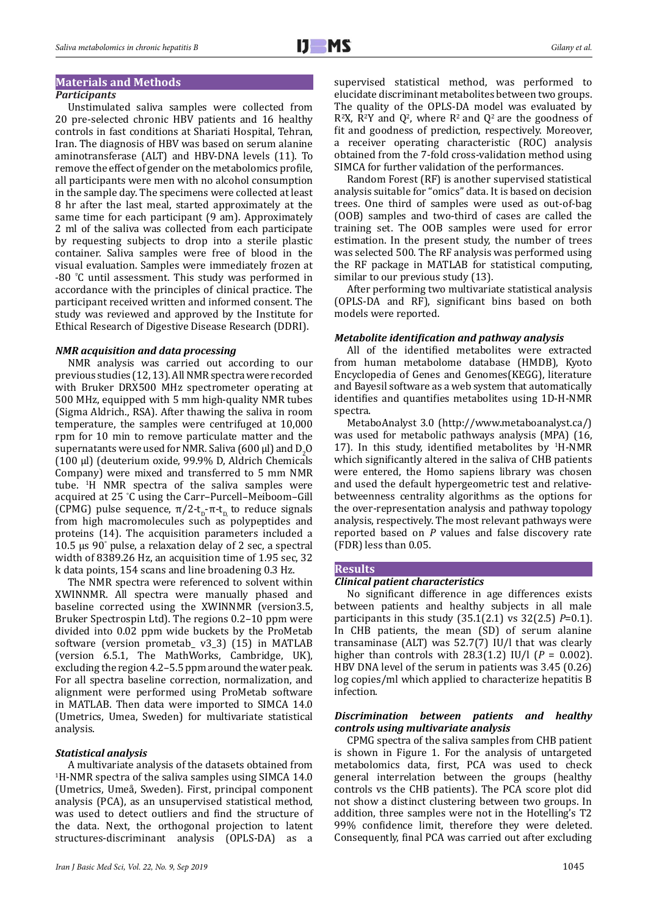# **Materials and Methods**

# *Participants*

Unstimulated saliva samples were collected from 20 pre-selected chronic HBV patients and 16 healthy controls in fast conditions at Shariati Hospital, Tehran, Iran. The diagnosis of HBV was based on serum alanine aminotransferase (ALT) and HBV-DNA levels (11). To remove the effect of gender on the metabolomics profile, all participants were men with no alcohol consumption in the sample day. The specimens were collected at least 8 hr after the last meal, started approximately at the same time for each participant (9 am). Approximately 2 ml of the saliva was collected from each participate by requesting subjects to drop into a sterile plastic container. Saliva samples were free of blood in the visual evaluation. Samples were immediately frozen at -80 <sup>º</sup> C until assessment. This study was performed in accordance with the principles of clinical practice. The participant received written and informed consent. The study was reviewed and approved by the Institute for Ethical Research of Digestive Disease Research (DDRI).

## *NMR acquisition and data processing*

NMR analysis was carried out according to our previous studies (12, 13). All NMR spectra were recorded with Bruker DRX500 MHz spectrometer operating at 500 MHz, equipped with 5 mm high-quality NMR tubes (Sigma Aldrich., RSA). After thawing the saliva in room temperature, the samples were centrifuged at 10,000 rpm for 10 min to remove particulate matter and the supernatants were used for NMR. Saliva (600  $\mu$ I) and D<sub>2</sub>O (100 µl) (deuterium oxide, 99.9% D, Aldrich Chemicals Company) were mixed and transferred to 5 mm NMR tube. <sup>1</sup> H NMR spectra of the saliva samples were acquired at 25 ° C using the Carr–Purcell–Meiboom–Gill (CPMG) pulse sequence,  $\pi/2-t_p-\pi-t_p$  to reduce signals from high macromolecules such as polypeptides and proteins (14). The acquisition parameters included a 10.5 µs 90° pulse, a relaxation delay of 2 sec, a spectral width of 8389.26 Hz, an acquisition time of 1.95 sec, 32 k data points, 154 scans and line broadening 0.3 Hz.

The NMR spectra were referenced to solvent within XWINNMR. All spectra were manually phased and baseline corrected using the XWINNMR (version3.5, Bruker Spectrospin Ltd). The regions 0.2–10 ppm were divided into 0.02 ppm wide buckets by the ProMetab software (version prometab\_ v3\_3) (15) in MATLAB (version 6.5.1, The MathWorks, Cambridge, UK), excluding the region 4.2–5.5 ppm around the water peak. For all spectra baseline correction, normalization, and alignment were performed using ProMetab software in MATLAB. Then data were imported to SIMCA 14.0 (Umetrics, Umea, Sweden) for multivariate statistical analysis.

## *Statistical analysis*

A multivariate analysis of the datasets obtained from 1 H-NMR spectra of the saliva samples using SIMCA 14.0 (Umetrics, Umeå, Sweden). First, principal component analysis (PCA), as an unsupervised statistical method, was used to detect outliers and find the structure of the data. Next, the orthogonal projection to latent structures-discriminant analysis (OPLS-DA) as a

supervised statistical method, was performed to elucidate discriminant metabolites between two groups. The quality of the OPLS-DA model was evaluated by  $R^{2}X$ ,  $R^{2}Y$  and  $Q^{2}$ , where  $R^{2}$  and  $Q^{2}$  are the goodness of fit and goodness of prediction, respectively. Moreover, a receiver operating characteristic (ROC) analysis obtained from the 7-fold cross-validation method using SIMCA for further validation of the performances.

Random Forest (RF) is another supervised statistical analysis suitable for "omics" data. It is based on decision trees. One third of samples were used as out-of-bag (OOB) samples and two-third of cases are called the training set. The OOB samples were used for error estimation. In the present study, the number of trees was selected 500. The RF analysis was performed using the RF package in MATLAB for statistical computing, similar to our previous study (13).

After performing two multivariate statistical analysis (OPLS-DA and RF), significant bins based on both models were reported.

## *Metabolite identification and pathway analysis*

All of the identified metabolites were extracted from human metabolome database (HMDB), Kyoto Encyclopedia of Genes and Genomes(KEGG), literature and Bayesil software as a web system that automatically identifies and quantifies metabolites using 1D-H-NMR spectra.

MetaboAnalyst 3.0 (<http://www.metaboanalyst.ca/>) was used for metabolic pathways analysis (MPA) (16, 17). In this study, identified metabolites by  $H-MR$ which significantly altered in the saliva of CHB patients were entered, the Homo sapiens library was chosen and used the default hypergeometric test and relativebetweenness centrality algorithms as the options for the over-representation analysis and pathway topology analysis, respectively. The most relevant pathways were reported based on *P* values and false discovery rate (FDR) less than 0.05.

#### **Results**

#### *Clinical patient characteristics*

No significant difference in age differences exists between patients and healthy subjects in all male participants in this study (35.1(2.1) vs 32(2.5) *P*=0.1). In CHB patients, the mean (SD) of serum alanine transaminase (ALT) was 52.7(7) IU/l that was clearly higher than controls with 28.3(1.2) IU/l (*P* = 0.002). HBV DNA level of the serum in patients was 3.45 (0.26) log copies/ml which applied to characterize hepatitis B infection.

## *Discrimination between patients and healthy controls using multivariate analysis*

CPMG spectra of the saliva samples from CHB patient is shown in Figure 1. For the analysis of untargeted metabolomics data, first, PCA was used to check general interrelation between the groups (healthy controls vs the CHB patients). The PCA score plot did not show a distinct clustering between two groups. In addition, three samples were not in the Hotelling's T2 99% confidence limit, therefore they were deleted. Consequently, final PCA was carried out after excluding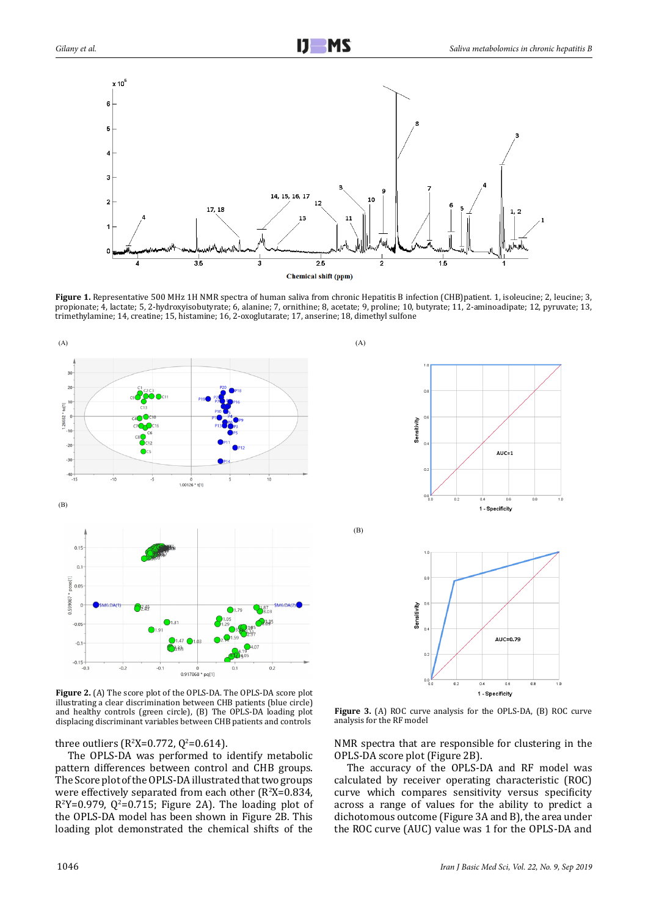

Figure 1. Representative 500 MHz 1H NMR spectra of human saliva from chronic Hepatitis B infection (CHB)patient. 1, isoleucine; 2, leucine; 3, propionate; 4, lactate; 5, 2-hydroxyisobutyrate; 6, alanine; 7, ornithine; 8, acetate; 9, proline; 10, butyrate; 11, 2-aminoadipate; 12, pyruvate; 13, trimethylamine; 14, creatine; 15, histamine; 16, 2-oxoglutarate; 17, anserine; 18, dimethyl sulfone





(B)



2 and healthy controls (green circle), (B) The OPLS-DA loading plot **Figure 2.** (A) The score plot of the OPLS-DA. The OPLS-DA score plot illustrating a clear discrimination between CHB patients (blue circle) displacing discriminant variables between CHB patients and controls

three outliers ( $R^2X=0.772$ ,  $Q^2=0.614$ ).

The OPLS-DA was performed to identify metabolic pattern differences between control and CHB groups. The Score plot of the OPLS-DA illustrated that two groups were effectively separated from each other  $(R^2X=0.834,$  $R^2Y=0.979$ ,  $Q^2=0.715$ ; Figure 2A). The loading plot of the OPLS-DA model has been shown in Figure 2B. This loading plot demonstrated the chemical shifts of the

**Figure 3.** (A) ROC curve analysis for the OPLS-DA, (B) ROC curve analysis for the RF model

NMR spectra that are responsible for clustering in the OPLS-DA score plot (Figure 2B).

The accuracy of the OPLS-DA and RF model was calculated by receiver operating characteristic (ROC) curve which compares sensitivity versus specificity across a range of values for the ability to predict a dichotomous outcome (Figure 3A and B), the area under the ROC curve (AUC) value was 1 for the OPLS-DA and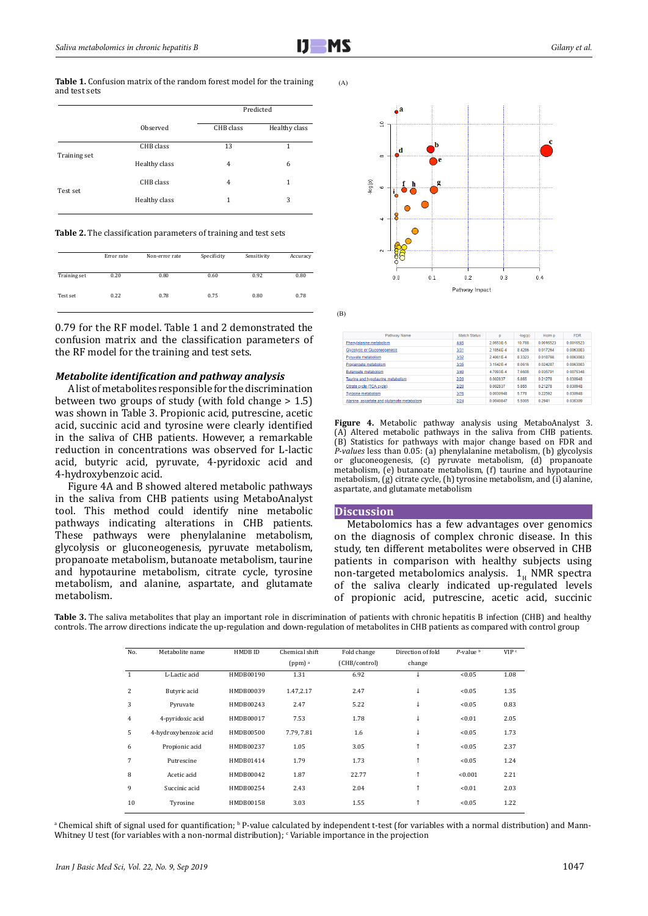**Table 1.** Confusion matrix of the random forest model for the training and test sets

|              |               | Predicted |               |  |  |
|--------------|---------------|-----------|---------------|--|--|
|              | Observed      | CHB class | Healthy class |  |  |
| Training set | CHB class     | 13        | 1             |  |  |
|              | Healthy class | 4         | 6             |  |  |
|              | CHB class     | 4         | 1             |  |  |
| Test set     | Healthy class | 1         | 3             |  |  |

**Table 2.** The classification parameters of training and test sets

|              | Error rate | Non-error rate | Specificity | Sensitivity | Accuracy |
|--------------|------------|----------------|-------------|-------------|----------|
| Training set | 0.20       | 0.80           | 0.60        | 0.92        | 0.80     |
| Test set     | 0.22       | 0.78           | 0.75        | 0.80        | 0.78     |

0.79 for the RF model. Table 1 and 2 demonstrated the confusion matrix and the classification parameters of the RF model for the training and test sets.

## *Metabolite identification and pathway analysis*

A list of metabolites responsible for the discrimination between two groups of study (with fold change > 1.5) was shown in Table 3. Propionic acid, putrescine, acetic acid, succinic acid and tyrosine were clearly identified in the saliva of CHB patients. However, a remarkable reduction in concentrations was observed for L-lactic acid, butyric acid, pyruvate, 4-pyridoxic acid and 4-hydroxybenzoic acid.

Figure 4A and B showed altered metabolic pathways in the saliva from CHB patients using MetaboAnalyst tool. This method could identify nine metabolic pathways indicating alterations in CHB patients. These pathways were phenylalanine metabolism, glycolysis or gluconeogenesis, pyruvate metabolism, propanoate metabolism, butanoate metabolism, taurine and hypotaurine metabolism, citrate cycle, tyrosine metabolism, and alanine, aspartate, and glutamate metabolism.

 $(A)$ 



(B)

| Pathway Name                                | <b>Match Status</b> | D         | $-log(p)$ | Holm p    | <b>FDR</b> |
|---------------------------------------------|---------------------|-----------|-----------|-----------|------------|
| Phenvlalanine metabolism                    | 4/45                | 2.0653F-5 | 10788     | 0.0016523 | 0.0016523  |
| <b>Glycolvsis or Gluconeogenesis</b>        | 3/31                | 2 1854F-4 | 8 4286    | 0017264   | 0.0063083  |
| Pyruvate metabolism                         | 3/32                | 2.4061E-4 | 8.3323    | 0.018768  | 0.0063083  |
| Propanoate metabolism                       | 3/35                | 3.1542E-4 | 8.0616    | 0.024287  | 0.0063083  |
| <b>Butanoate metabolism</b>                 | 3/40                | 47093F-4  | 7 6608    | 0.035791  | 0.0075348  |
| Taurine and hypotaurine metabolism          | 2/20                | 0.002837  | 5865      | 0 21278   | 0.030948   |
| Citrate cycle (TCA cycle)                   | 2/20                | 0.002837  | 5.865     | 0.21278   | 0.030948   |
| <b>Tyrosine metabolism</b>                  | 3/76                | 0.0030948 | 5.778     | 0.22592   | 0.030948   |
| Alanine, aspartate and glutamate metabolism | 2/24                | 0.0040847 | 5.5005    | 0.2941    | 0.036309   |

4 *P-values* less than 0.05: (a) phenylalanine metabolism, (b) glycolysis **Figure 4.** Metabolic pathway analysis using MetaboAnalyst 3. (A) Altered metabolic pathways in the saliva from CHB patients. (B) Statistics for pathways with major change based on FDR and or gluconeogenesis, (c) pyruvate metabolism, (d) propanoate metabolism, (e) butanoate metabolism, (f) taurine and hypotaurine metabolism, (g) citrate cycle, (h) tyrosine metabolism, and (i) alanine, aspartate, and glutamate metabolism

### **Discussion**

Metabolomics has a few advantages over genomics on the diagnosis of complex chronic disease. In this study, ten different metabolites were observed in CHB patients in comparison with healthy subjects using non-targeted metabolomics analysis.  $1_H$  NMR spectra of the saliva clearly indicated up-regulated levels of propionic acid, putrescine, acetic acid, succinic

| Table 3. The saliva metabolites that play an important role in discrimination of patients with chronic hepatitis B infection (CHB) and healthy |  |
|------------------------------------------------------------------------------------------------------------------------------------------------|--|
| controls. The arrow directions indicate the up-regulation and down-regulation of metabolites in CHB patients as compared with control group    |  |

| No.            | Metabolite name       | HMDB ID   | Chemical shift       | Fold change   | Direction of fold | $P$ -value $\frac{b}{2}$ | VIP <sup>c</sup> |
|----------------|-----------------------|-----------|----------------------|---------------|-------------------|--------------------------|------------------|
|                |                       |           | $(ppm)$ <sup>a</sup> | (CHB/control) | change            |                          |                  |
| $\mathbf{1}$   | L-Lactic acid         | HMDB00190 | 1.31                 | 6.92          |                   | < 0.05                   | 1.08             |
| $\overline{c}$ | Butyric acid          | HMDB00039 | 1.47.2.17            | 2.47          | ↓                 | < 0.05                   | 1.35             |
| 3              | Pyruvate              | HMDB00243 | 2.47                 | 5.22          | ↓                 | < 0.05                   | 0.83             |
| 4              | 4-pyridoxic acid      | HMDB00017 | 7.53                 | 1.78          | ↓                 | < 0.01                   | 2.05             |
| 5              | 4-hydroxybenzoic acid | HMDB00500 | 7.79, 7.81           | 1.6           | ↓                 | < 0.05                   | 1.73             |
| 6              | Propionic acid        | HMDB00237 | 1.05                 | 3.05          | $\uparrow$        | < 0.05                   | 2.37             |
| 7              | Putrescine            | HMDB01414 | 1.79                 | 1.73          | $\uparrow$        | < 0.05                   | 1.24             |
| 8              | Acetic acid           | HMDB00042 | 1.87                 | 22.77         | $\uparrow$        | < 0.001                  | 2.21             |
| 9              | Succinic acid         | HMDB00254 | 2.43                 | 2.04          | $\uparrow$        | < 0.01                   | 2.03             |
| 10             | Tyrosine              | HMDB00158 | 3.03                 | 1.55          | $\uparrow$        | < 0.05                   | 1.22             |

a Chemical shift of signal used for quantification; <sup>b</sup> P-value calculated by independent t-test (for variables with a normal distribution) and Mann-Whitney U test (for variables with a non-normal distribution);  $\cdot$  Variable importance in the projection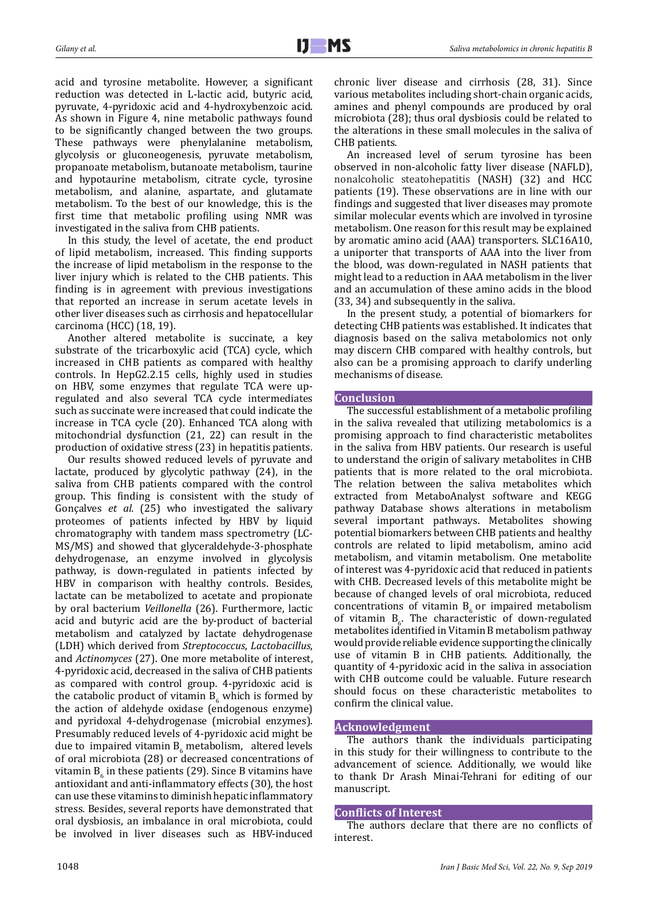acid and tyrosine metabolite. However, a significant reduction was detected in L-lactic acid, butyric acid, pyruvate, 4-pyridoxic acid and 4-hydroxybenzoic acid. As shown in Figure 4, nine metabolic pathways found to be significantly changed between the two groups. These pathways were phenylalanine metabolism, glycolysis or gluconeogenesis, pyruvate metabolism, propanoate metabolism, butanoate metabolism, taurine and hypotaurine metabolism, citrate cycle, tyrosine metabolism, and alanine, aspartate, and glutamate metabolism. To the best of our knowledge, this is the first time that metabolic profiling using NMR was investigated in the saliva from CHB patients.

In this study, the level of acetate, the end product of lipid metabolism, increased. This finding supports the increase of lipid metabolism in the response to the liver injury which is related to the CHB patients. This finding is in agreement with previous investigations that reported an increase in serum acetate levels in other liver diseases such as cirrhosis and hepatocellular carcinoma (HCC) (18, 19).

Another altered metabolite is succinate, a key substrate of the tricarboxylic acid (TCA) cycle, which increased in CHB patients as compared with healthy controls. In HepG2.2.15 cells, highly used in studies on HBV, some enzymes that regulate TCA were upregulated and also several TCA cycle intermediates such as succinate were increased that could indicate the increase in TCA cycle (20). Enhanced TCA along with mitochondrial dysfunction (21, 22) can result in the production of oxidative stress (23) in hepatitis patients.

Our results showed reduced levels of pyruvate and lactate, produced by glycolytic pathway (24), in the saliva from CHB patients compared with the control group. This finding is consistent with the study of Gonçalves *et al.* (25) who investigated the salivary proteomes of patients infected by HBV by liquid chromatography with tandem mass spectrometry (LC-MS/MS) and showed that glyceraldehyde-3-phosphate dehydrogenase, an enzyme involved in glycolysis pathway, is down-regulated in patients infected by HBV in comparison with healthy controls. Besides, lactate can be metabolized to acetate and propionate by oral bacterium *Veillonella* (26). Furthermore, lactic acid and butyric acid are the by-product of bacterial metabolism and catalyzed by lactate dehydrogenase (LDH) which derived from *Streptococcus*, *Lactobacillus*, and *Actinomyces* (27). One more metabolite of interest, 4-pyridoxic acid, decreased in the saliva of CHB patients as compared with control group. 4-pyridoxic acid is the catabolic product of vitamin  $B_6$  which is formed by the action of aldehyde oxidase (endogenous enzyme) and pyridoxal 4-dehydrogenase (microbial enzymes). Presumably reduced levels of 4-pyridoxic acid might be due to impaired vitamin  $B_6$  metabolism, altered levels of oral microbiota (28) or decreased concentrations of vitamin  $B_6$  in these patients (29). Since B vitamins have antioxidant and anti-inflammatory effects (30), the host can use these vitamins to diminish hepatic inflammatory stress. Besides, several reports have demonstrated that oral dysbiosis, an imbalance in oral microbiota, could be involved in liver diseases such as HBV-induced

chronic liver disease and cirrhosis (28, 31). Since various metabolites including short-chain organic acids, amines and phenyl compounds are produced by oral microbiota (28); thus oral dysbiosis could be related to the alterations in these small molecules in the saliva of CHB patients.

An increased level of serum tyrosine has been observed in non-alcoholic fatty liver disease (NAFLD), nonalcoholic steatohepatitis (NASH) (32) and HCC patients (19). These observations are in line with our findings and suggested that liver diseases may promote similar molecular events which are involved in tyrosine metabolism. One reason for this result may be explained by aromatic amino acid (AAA) transporters. SLC16A10, a uniporter that transports of AAA into the liver from the blood, was down-regulated in NASH patients that might lead to a reduction in AAA metabolism in the liver and an accumulation of these amino acids in the blood (33, 34) and subsequently in the saliva.

In the present study, a potential of biomarkers for detecting CHB patients was established. It indicates that diagnosis based on the saliva metabolomics not only may discern CHB compared with healthy controls, but also can be a promising approach to clarify underling mechanisms of disease.

# **Conclusion**

The successful establishment of a metabolic profiling in the saliva revealed that utilizing metabolomics is a promising approach to find characteristic metabolites in the saliva from HBV patients. Our research is useful to understand the origin of salivary metabolites in CHB patients that is more related to the oral microbiota. The relation between the saliva metabolites which extracted from MetaboAnalyst software and KEGG pathway Database shows alterations in metabolism several important pathways. Metabolites showing potential biomarkers between CHB patients and healthy controls are related to lipid metabolism, amino acid metabolism, and vitamin metabolism. One metabolite of interest was 4-pyridoxic acid that reduced in patients with CHB. Decreased levels of this metabolite might be because of changed levels of oral microbiota, reduced concentrations of vitamin  $B_{\epsilon}$  or impaired metabolism of vitamin  $B_6$ . The characteristic of down-regulated metabolites identified in Vitamin B metabolism pathway would provide reliable evidence supporting the clinically use of vitamin B in CHB patients. Additionally, the quantity of 4-pyridoxic acid in the saliva in association with CHB outcome could be valuable. Future research should focus on these characteristic metabolites to confirm the clinical value.

# **Acknowledgment**

The authors thank the individuals participating in this study for their willingness to contribute to the advancement of science. Additionally, we would like to thank Dr Arash Minai-Tehrani for editing of our manuscript.

## **Conflicts of Interest**

The authors declare that there are no conflicts of interest.